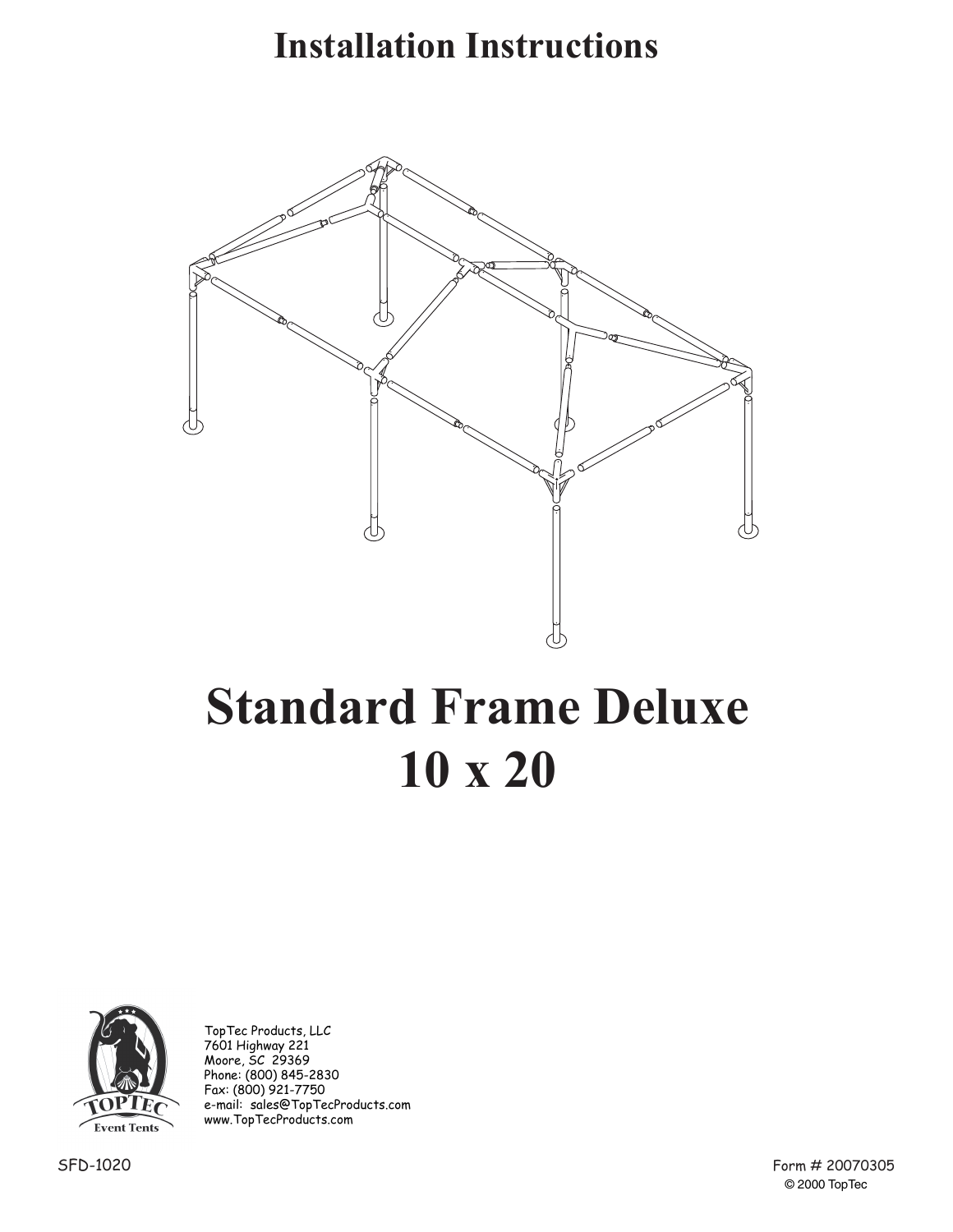## **Installation Instructions**



# **Standard Frame Deluxe 10 x 20**



TopTec Products, LLC 7601 Highway 221 Moore, SC 29369 Phone: (800) 845-2830 Fax: (800) 921-7750 e-mail: sales@TopTecProducts.com www.TopTecProducts.com

> Form # 20070305 © 2000 TopTec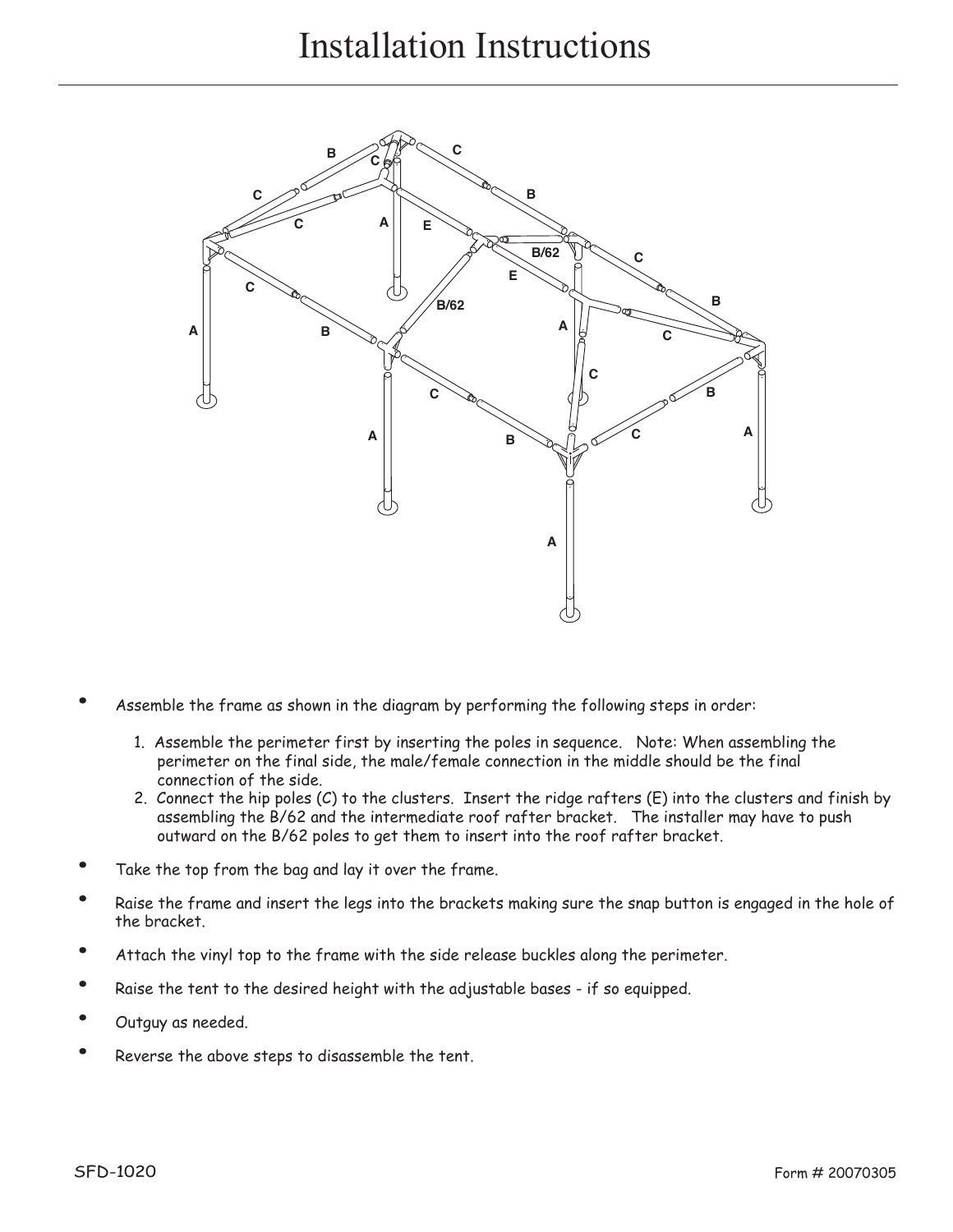### Installation Instructions



- Assemble the frame as shown in the diagram by performing the following steps in order:
	- 1. Assemble the perimeter first by inserting the poles in sequence. Note: When assembling the perimeter on the final side, the male/female connection in the middle should be the final connection of the side.
	- 2. Connect the hip poles (C) to the clusters. Insert the ridge rafters (E) into the clusters and finish by assembling the B/62 and the intermediate roof rafter bracket. The installer may have to push outward on the B/62 poles to get them to insert into the roof rafter bracket.
- Take the top from the bag and lay it over the frame.
- Raise the frame and insert the legs into the brackets making sure the snap button is engaged in the hole of the bracket.
- Attach the vinyl top to the frame with the side release buckles along the perimeter.
- Raise the tent to the desired height with the adjustable bases if so equipped.
- Outguy as needed.
- Reverse the above steps to disassemble the tent.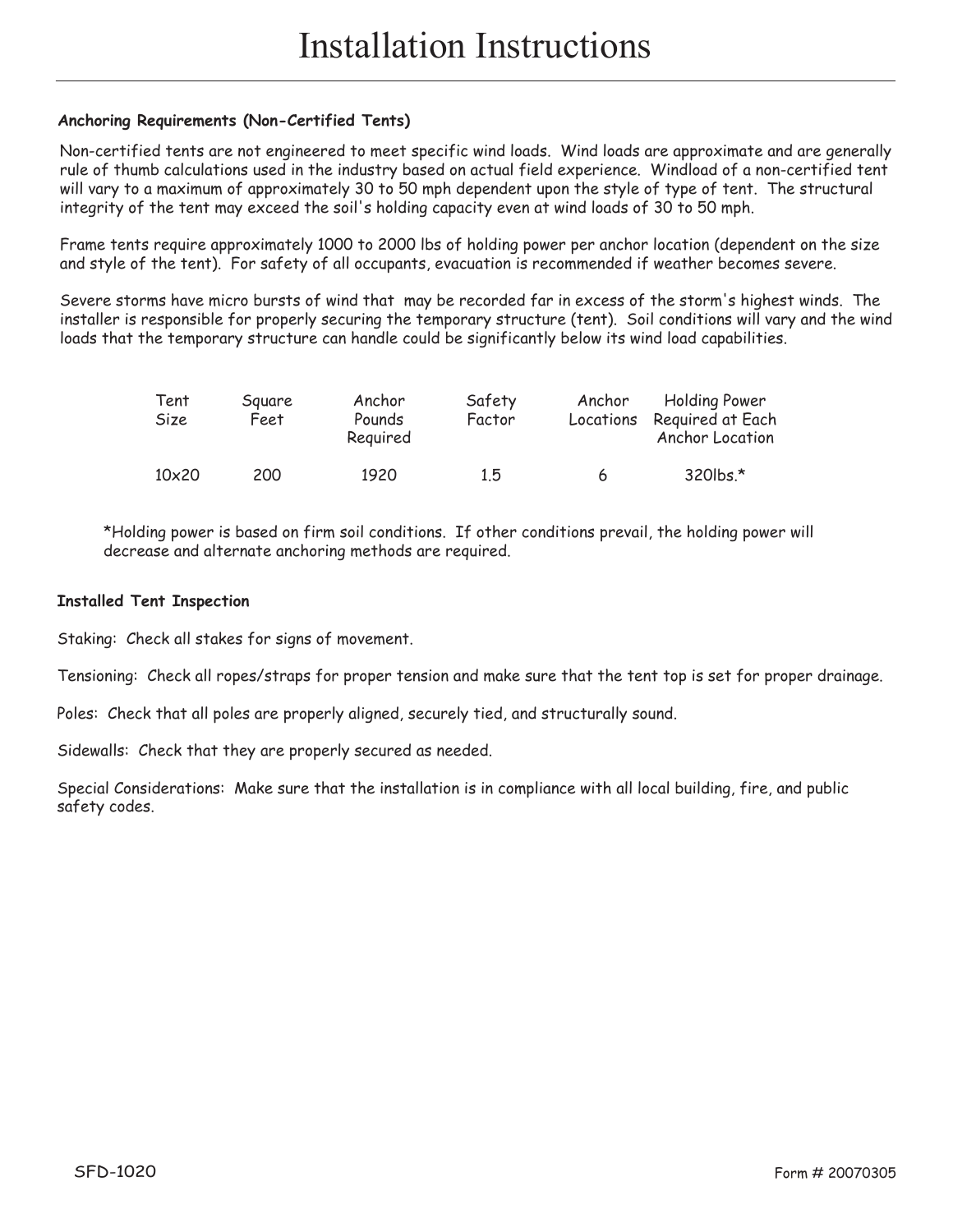#### **Anchoring Requirements (Non-Certified Tents)**

Non-certified tents are not engineered to meet specific wind loads. Wind loads are approximate and are generally rule of thumb calculations used in the industry based on actual field experience. Windload of a non-certified tent will vary to a maximum of approximately 30 to 50 mph dependent upon the style of type of tent. The structural integrity of the tent may exceed the soil's holding capacity even at wind loads of 30 to 50 mph.

Frame tents require approximately 1000 to 2000 lbs of holding power per anchor location (dependent on the size and style of the tent). For safety of all occupants, evacuation is recommended if weather becomes severe.

Severe storms have micro bursts of wind that may be recorded far in excess of the storm's highest winds. The installer is responsible for properly securing the temporary structure (tent). Soil conditions will vary and the wind loads that the temporary structure can handle could be significantly below its wind load capabilities.

| Tent<br>Size | Square<br>Feet | Anchor<br>Pounds<br>Reguired | Safety<br>Factor | Anchor<br>Locations | <b>Holding Power</b><br>Reguired at Each<br>Anchor Location |
|--------------|----------------|------------------------------|------------------|---------------------|-------------------------------------------------------------|
| $10\times20$ | 200            | 1920                         | 15               | 6                   | 320lbs.*                                                    |

\*Holding power is based on firm soil conditions. If other conditions prevail, the holding power will decrease and alternate anchoring methods are required.

#### **Installed Tent Inspection**

Staking: Check all stakes for signs of movement.

Tensioning: Check all ropes/straps for proper tension and make sure that the tent top is set for proper drainage.

Poles: Check that all poles are properly aligned, securely tied, and structurally sound.

Sidewalls: Check that they are properly secured as needed.

Special Considerations: Make sure that the installation is in compliance with all local building, fire, and public safety codes.